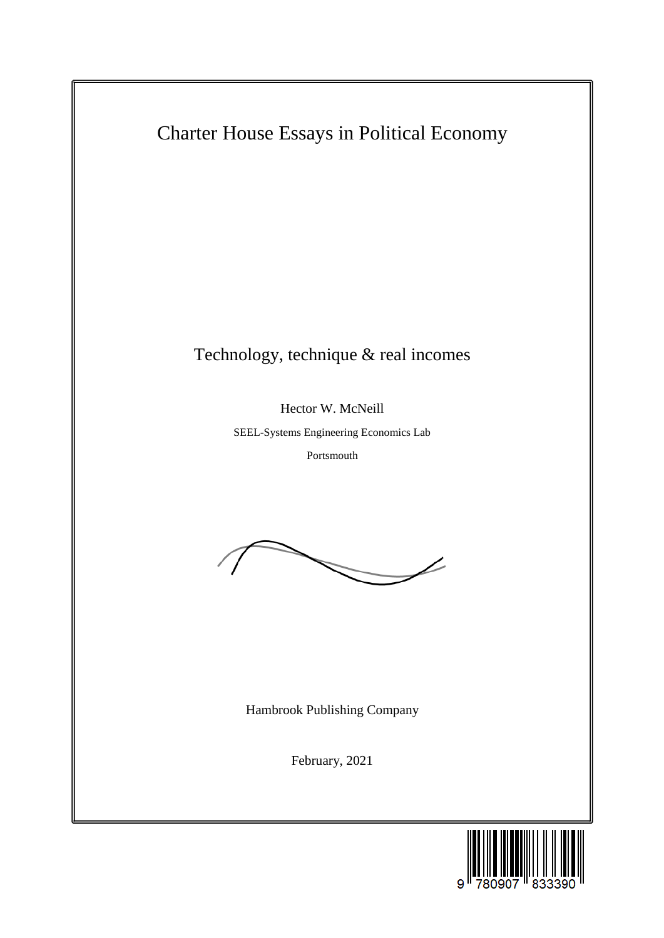Charter House Essays in Political Economy Technology, technique & real incomes Hector W. McNeill SEEL-Systems Engineering Economics Lab Portsmouth Hambrook Publishing Company February, 2021

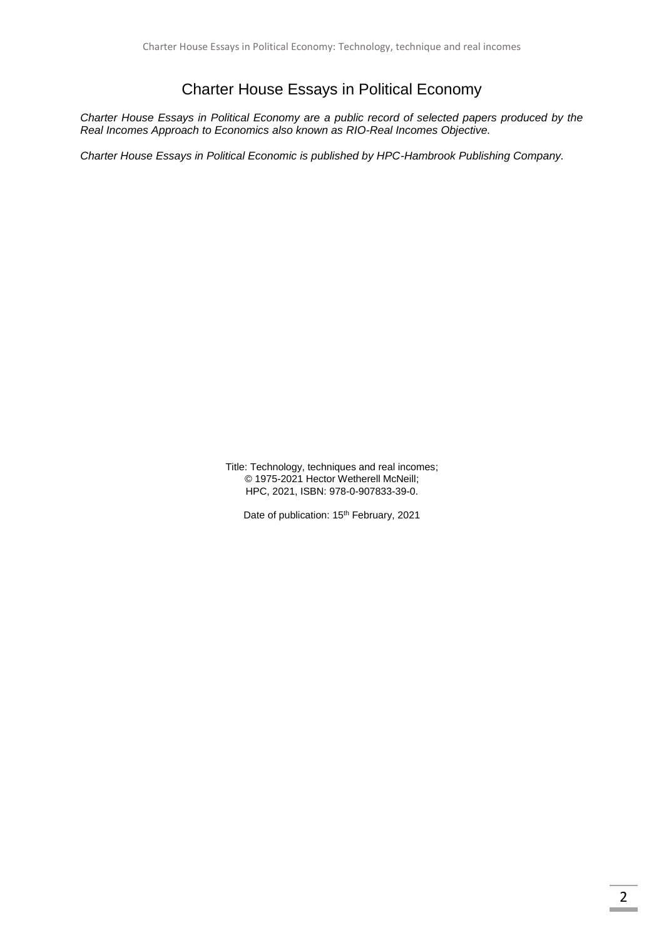## Charter House Essays in Political Economy

*Charter House Essays in Political Economy are a public record of selected papers produced by the Real Incomes Approach to Economics also known as RIO-Real Incomes Objective.*

*Charter House Essays in Political Economic is published by HPC-Hambrook Publishing Company.*

Title: Technology, techniques and real incomes; © 1975-2021 Hector Wetherell McNeill; HPC, 2021, ISBN: 978-0-907833-39-0.

Date of publication: 15<sup>th</sup> February, 2021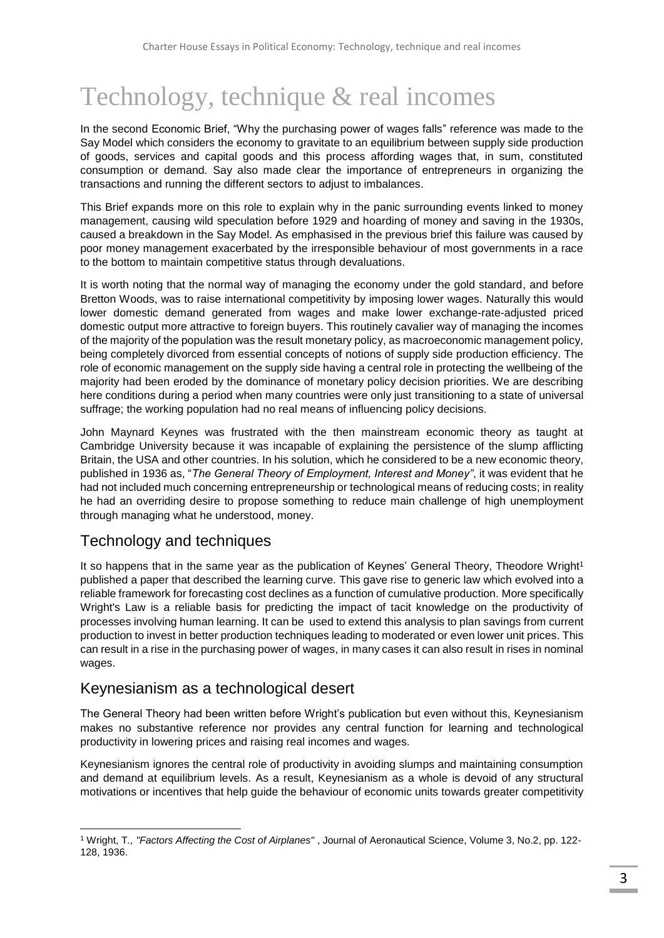# Technology, technique & real incomes

In the second Economic Brief, "Why the purchasing power of wages falls" reference was made to the Say Model which considers the economy to gravitate to an equilibrium between supply side production of goods, services and capital goods and this process affording wages that, in sum, constituted consumption or demand. Say also made clear the importance of entrepreneurs in organizing the transactions and running the different sectors to adjust to imbalances.

This Brief expands more on this role to explain why in the panic surrounding events linked to money management, causing wild speculation before 1929 and hoarding of money and saving in the 1930s, caused a breakdown in the Say Model. As emphasised in the previous brief this failure was caused by poor money management exacerbated by the irresponsible behaviour of most governments in a race to the bottom to maintain competitive status through devaluations.

It is worth noting that the normal way of managing the economy under the gold standard, and before Bretton Woods, was to raise international competitivity by imposing lower wages. Naturally this would lower domestic demand generated from wages and make lower exchange-rate-adjusted priced domestic output more attractive to foreign buyers. This routinely cavalier way of managing the incomes of the majority of the population was the result monetary policy, as macroeconomic management policy, being completely divorced from essential concepts of notions of supply side production efficiency. The role of economic management on the supply side having a central role in protecting the wellbeing of the majority had been eroded by the dominance of monetary policy decision priorities. We are describing here conditions during a period when many countries were only just transitioning to a state of universal suffrage; the working population had no real means of influencing policy decisions.

John Maynard Keynes was frustrated with the then mainstream economic theory as taught at Cambridge University because it was incapable of explaining the persistence of the slump afflicting Britain, the USA and other countries. In his solution, which he considered to be a new economic theory, published in 1936 as, "*The General Theory of Employment, Interest and Money"*, it was evident that he had not included much concerning entrepreneurship or technological means of reducing costs; in reality he had an overriding desire to propose something to reduce main challenge of high unemployment through managing what he understood, money.

# Technology and techniques

It so happens that in the same year as the publication of Keynes' General Theory, Theodore Wright<sup>1</sup> published a paper that described the learning curve. This gave rise to generic law which evolved into a reliable framework for forecasting cost declines as a function of cumulative production. More specifically Wright's Law is a reliable basis for predicting the impact of tacit knowledge on the productivity of processes involving human learning. It can be used to extend this analysis to plan savings from current production to invest in better production techniques leading to moderated or even lower unit prices. This can result in a rise in the purchasing power of wages, in many cases it can also result in rises in nominal wages.

# Keynesianism as a technological desert

The General Theory had been written before Wright's publication but even without this, Keynesianism makes no substantive reference nor provides any central function for learning and technological productivity in lowering prices and raising real incomes and wages.

Keynesianism ignores the central role of productivity in avoiding slumps and maintaining consumption and demand at equilibrium levels. As a result, Keynesianism as a whole is devoid of any structural motivations or incentives that help guide the behaviour of economic units towards greater competitivity

<sup>1</sup> <sup>1</sup> Wright, T*., "Factors Affecting the Cost of Airplanes"* , Journal of Aeronautical Science, Volume 3, No.2, pp. 122- 128, 1936.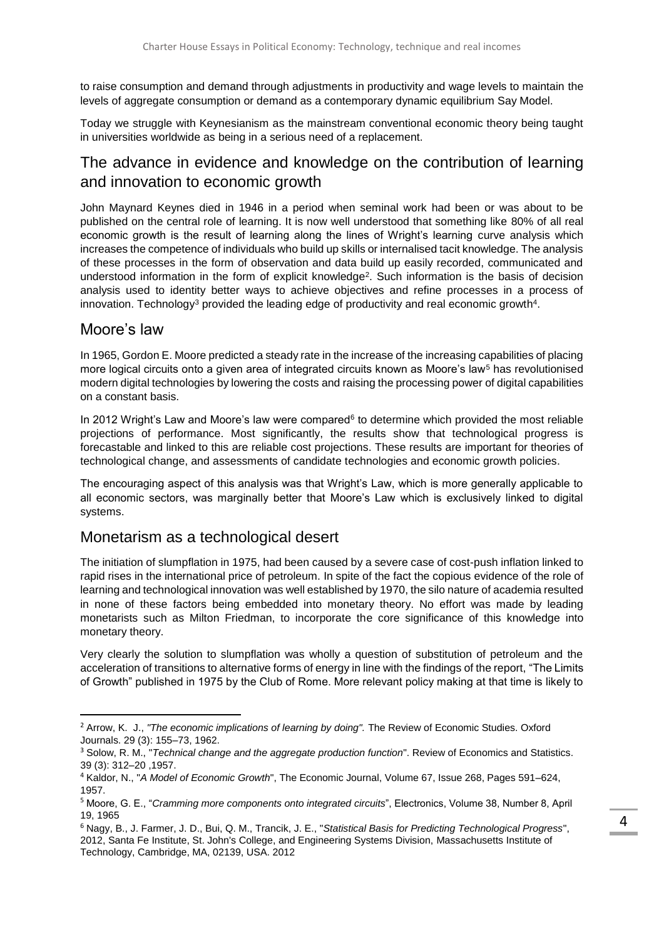to raise consumption and demand through adjustments in productivity and wage levels to maintain the levels of aggregate consumption or demand as a contemporary dynamic equilibrium Say Model.

Today we struggle with Keynesianism as the mainstream conventional economic theory being taught in universities worldwide as being in a serious need of a replacement.

## The advance in evidence and knowledge on the contribution of learning and innovation to economic growth

John Maynard Keynes died in 1946 in a period when seminal work had been or was about to be published on the central role of learning. It is now well understood that something like 80% of all real economic growth is the result of learning along the lines of Wright's learning curve analysis which increases the competence of individuals who build up skills or internalised tacit knowledge. The analysis of these processes in the form of observation and data build up easily recorded, communicated and understood information in the form of explicit knowledge<sup>2</sup>. Such information is the basis of decision analysis used to identity better ways to achieve objectives and refine processes in a process of innovation. Technology<sup>3</sup> provided the leading edge of productivity and real economic growth<sup>4</sup>.

#### Moore's law

1

In 1965, Gordon E. Moore predicted a steady rate in the increase of the increasing capabilities of placing more logical circuits onto a given area of integrated circuits known as Moore's law<sup>5</sup> has revolutionised modern digital technologies by lowering the costs and raising the processing power of digital capabilities on a constant basis.

In 2012 Wright's Law and Moore's law were compared $6$  to determine which provided the most reliable projections of performance. Most significantly, the results show that technological progress is forecastable and linked to this are reliable cost projections. These results are important for theories of technological change, and assessments of candidate technologies and economic growth policies.

The encouraging aspect of this analysis was that Wright's Law, which is more generally applicable to all economic sectors, was marginally better that Moore's Law which is exclusively linked to digital systems.

### Monetarism as a technological desert

The initiation of slumpflation in 1975, had been caused by a severe case of cost-push inflation linked to rapid rises in the international price of petroleum. In spite of the fact the copious evidence of the role of learning and technological innovation was well established by 1970, the silo nature of academia resulted in none of these factors being embedded into monetary theory. No effort was made by leading monetarists such as Milton Friedman, to incorporate the core significance of this knowledge into monetary theory.

Very clearly the solution to slumpflation was wholly a question of substitution of petroleum and the acceleration of transitions to alternative forms of energy in line with the findings of the report, "The Limits of Growth" published in 1975 by the Club of Rome. More relevant policy making at that time is likely to

<sup>&</sup>lt;sup>2</sup> Arrow, K. J., "The economic implications of learning by doing". The Review of Economic Studies. Oxford Journals. 29 (3): 155–73, 1962.

<sup>3</sup> Solow, R. M., "*Technical change and the aggregate production function*". Review of Economics and Statistics. 39 (3): 312–20 ,1957.

<sup>4</sup> Kaldor, N., "*A Model of Economic Growth*", The Economic Journal, Volume 67, Issue 268, Pages 591–624, 1957.

<sup>5</sup> Moore, G. E., "*Cramming more components onto integrated circuits*", Electronics, Volume 38, Number 8, April 19, 1965

<sup>6</sup> Nagy, B., J. Farmer, J. D., Bui, Q. M., Trancik, J. E., "*Statistical Basis for Predicting Technological Progress*", 2012, Santa Fe Institute, St. John's College, and Engineering Systems Division, Massachusetts Institute of Technology, Cambridge, MA, 02139, USA. 2012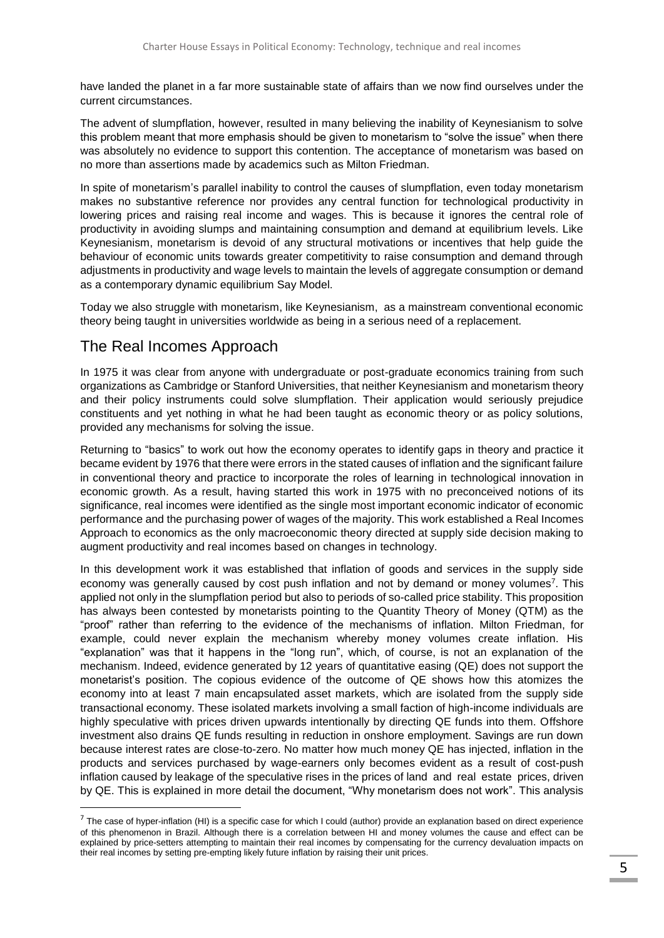have landed the planet in a far more sustainable state of affairs than we now find ourselves under the current circumstances.

The advent of slumpflation, however, resulted in many believing the inability of Keynesianism to solve this problem meant that more emphasis should be given to monetarism to "solve the issue" when there was absolutely no evidence to support this contention. The acceptance of monetarism was based on no more than assertions made by academics such as Milton Friedman.

In spite of monetarism's parallel inability to control the causes of slumpflation, even today monetarism makes no substantive reference nor provides any central function for technological productivity in lowering prices and raising real income and wages. This is because it ignores the central role of productivity in avoiding slumps and maintaining consumption and demand at equilibrium levels. Like Keynesianism, monetarism is devoid of any structural motivations or incentives that help guide the behaviour of economic units towards greater competitivity to raise consumption and demand through adjustments in productivity and wage levels to maintain the levels of aggregate consumption or demand as a contemporary dynamic equilibrium Say Model.

Today we also struggle with monetarism, like Keynesianism, as a mainstream conventional economic theory being taught in universities worldwide as being in a serious need of a replacement.

# The Real Incomes Approach

 $\overline{a}$ 

In 1975 it was clear from anyone with undergraduate or post-graduate economics training from such organizations as Cambridge or Stanford Universities, that neither Keynesianism and monetarism theory and their policy instruments could solve slumpflation. Their application would seriously prejudice constituents and yet nothing in what he had been taught as economic theory or as policy solutions, provided any mechanisms for solving the issue.

Returning to "basics" to work out how the economy operates to identify gaps in theory and practice it became evident by 1976 that there were errors in the stated causes of inflation and the significant failure in conventional theory and practice to incorporate the roles of learning in technological innovation in economic growth. As a result, having started this work in 1975 with no preconceived notions of its significance, real incomes were identified as the single most important economic indicator of economic performance and the purchasing power of wages of the majority. This work established a Real Incomes Approach to economics as the only macroeconomic theory directed at supply side decision making to augment productivity and real incomes based on changes in technology.

In this development work it was established that inflation of goods and services in the supply side economy was generally caused by cost push inflation and not by demand or money volumes<sup>7</sup>. This applied not only in the slumpflation period but also to periods of so-called price stability. This proposition has always been contested by monetarists pointing to the Quantity Theory of Money (QTM) as the "proof" rather than referring to the evidence of the mechanisms of inflation. Milton Friedman, for example, could never explain the mechanism whereby money volumes create inflation. His "explanation" was that it happens in the "long run", which, of course, is not an explanation of the mechanism. Indeed, evidence generated by 12 years of quantitative easing (QE) does not support the monetarist's position. The copious evidence of the outcome of QE shows how this atomizes the economy into at least 7 main encapsulated asset markets, which are isolated from the supply side transactional economy. These isolated markets involving a small faction of high-income individuals are highly speculative with prices driven upwards intentionally by directing QE funds into them. Offshore investment also drains QE funds resulting in reduction in onshore employment. Savings are run down because interest rates are close-to-zero. No matter how much money QE has injected, inflation in the products and services purchased by wage-earners only becomes evident as a result of cost-push inflation caused by leakage of the speculative rises in the prices of land and real estate prices, driven by QE. This is explained in more detail the document, "Why monetarism does not work". This analysis

 $7$  The case of hyper-inflation (HI) is a specific case for which I could (author) provide an explanation based on direct experience of this phenomenon in Brazil. Although there is a correlation between HI and money volumes the cause and effect can be explained by price-setters attempting to maintain their real incomes by compensating for the currency devaluation impacts on their real incomes by setting pre-empting likely future inflation by raising their unit prices.